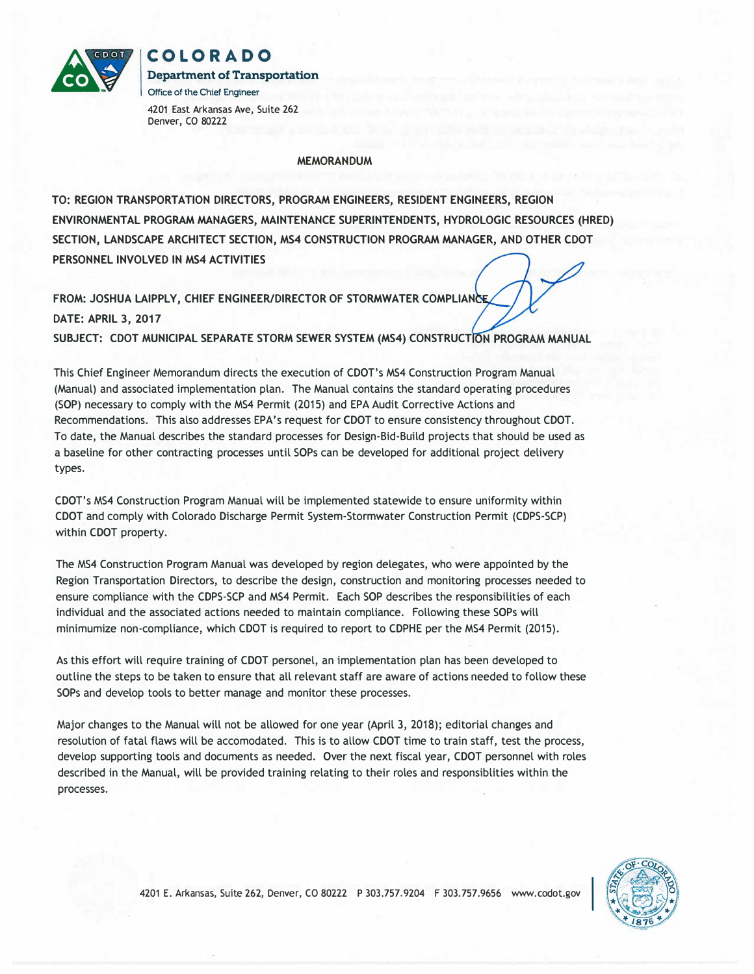

**COLORADO** 

Department of Transportation **Office of the Chief Engineer**  4201 East Arkansas Ave, Suite 262 Denver, CO 80222

## MEMORANDUM

TO: REGION TRANSPORTATION DIRECTORS, PROGRAM ENGINEERS, RESIDENT ENGINEERS, REGION ENVIRONMENTAL PROGRAM MANAGERS, MAINTENANCE SUPERINTENDENTS, HYDROLOGIC RESOURCES (HRED) SECTION, LANDSCAPE ARCHITECT SECTION, MS4 CONSTRUCTION PROGRAM MANAGER, AND OTHER CDOT PERSONNEL INVOLVED IN MS4 ACTIVITIES

FROM: JOSHUA LAIPPLY, CHIEF ENGINEER/DIRECTOR OF STORMWATER COMPLIAN DATE: APRIL 3, 2017 SUBJECT: CDOT MUNICIPAL SEPARATE STORM SEWER SYSTEM (MS4) CONSTRUCTION PROGRAM MANUAL

This Chief Engineer Memorandum directs the execution of CDOT's MS4 Construction Program Manual (Manual) and associated implementation plan. The Manual contains the standard operating procedures (SOP) necessary to comply with the MS4 Permit (2015) and EPA Audit Corrective Actions and Recommendations. This also addresses EPA's request for CDOT to ensure consistency throughout CDOT. To date, the Manual describes the standard processes for Design-Bid-Build projects that should be used as a baseline for other contracting processes until SOPs can be developed for additional project delivery types.

CDOT's MS4 Construction Program Manual will be implemented statewide to ensure uniformity within CDOT and comply with Colorado Discharge Permit System-Stormwater Construction Permit (CDPS-SCP) within CDOT property.

The MS4 Construction Program Manual was developed by region delegates, who were appointed by the Region Transportation Directors, to describe the design, construction and monitoring processes needed to ensure compliance with the CDPS-SCP and MS4 Permit. Each SOP describes the responsibilities of each individual and the associated actions needed to maintain compliance. Following these SOPs will minimumize non-compliance, which CDOT is required to report to CDPHE per the MS4 Permit (2015).

As this effort will require training of CDOT personel, an implementation plan has been developed to outline the steps to be taken to ensure that all relevant staff are aware of actions needed to follow these SOPs and develop tools to better manage and monitor these processes.

Major changes to the Manual will not be allowed for one year (April 3, 2018); editorial changes and resolution of fatal flaws will be accomodated. This is to allow CDOT time to train staff, test the process, develop supporting tools and documents as needed. Over the next fiscal year, CDOT personnel with roles described in the Manual, will be provided training relating to their roles and responsiblities within the processes.